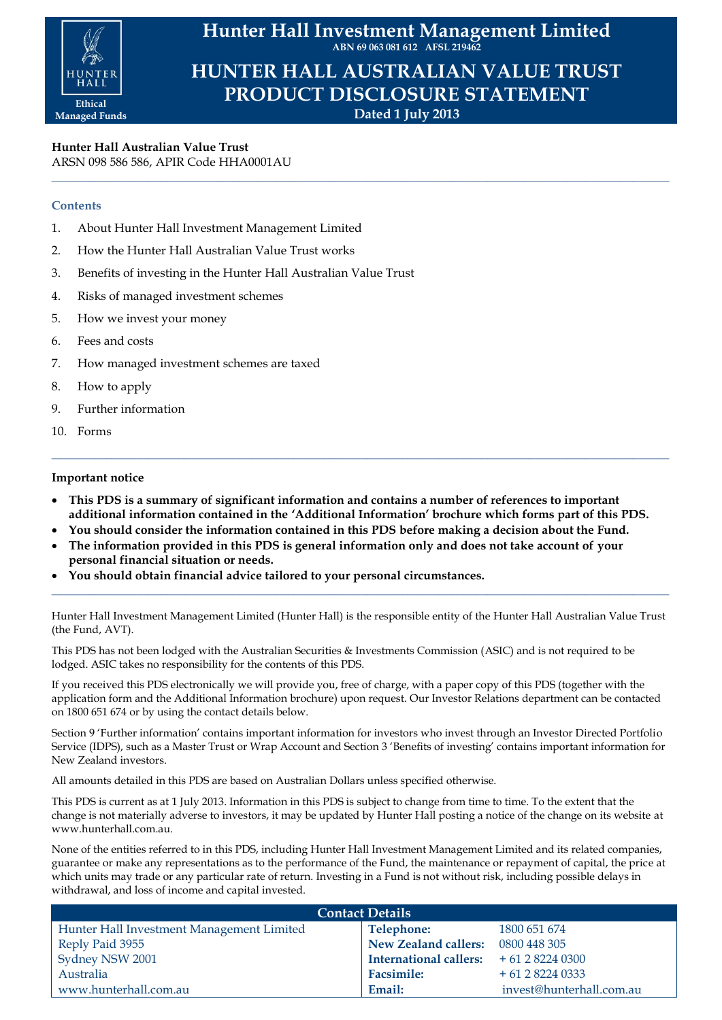

**Hunter Hall Investment Management Limited ABN 69 063 081 612 AFSL 219462**

**HUNTER HALL AUSTRALIAN VALUE TRUST PRODUCT DISCLOSURE STATEMENT Dated 1 July 2013**

**\_\_\_\_\_\_\_\_\_\_\_\_\_\_\_\_\_\_\_\_\_\_\_\_\_\_\_\_\_\_\_\_\_\_\_\_\_\_\_\_\_\_\_\_\_\_\_\_\_\_\_\_\_\_\_\_\_\_\_\_\_\_\_\_\_\_\_\_\_\_\_\_\_\_\_\_\_\_\_\_\_\_\_\_\_\_\_\_\_\_\_\_\_\_\_\_\_\_\_\_\_\_**

**Hunter Hall Australian Value Trust** ARSN 098 586 586, APIR Code HHA0001AU

# **Contents**

- 1. About Hunter Hall Investment Management Limited
- 2. How the Hunter Hall Australian Value Trust works
- 3. Benefits of investing in the Hunter Hall Australian Value Trust
- 4. Risks of managed investment schemes
- 5. How we invest your money
- 6. Fees and costs
- 7. How managed investment schemes are taxed
- 8. How to apply
- 9. Further information
- 10. Forms

## **Important notice**

 **This PDS is a summary of significant information and contains a number of references to important additional information contained in the 'Additional Information' brochure which forms part of this PDS.**

**\_\_\_\_\_\_\_\_\_\_\_\_\_\_\_\_\_\_\_\_\_\_\_\_\_\_\_\_\_\_\_\_\_\_\_\_\_\_\_\_\_\_\_\_\_\_\_\_\_\_\_\_\_\_\_\_\_\_\_\_\_\_\_\_\_\_\_\_\_\_\_\_\_\_\_\_\_\_\_\_\_\_\_\_\_\_\_\_\_\_\_\_\_\_\_\_\_\_\_\_\_\_**

- **You should consider the information contained in this PDS before making a decision about the Fund.**
- **The information provided in this PDS is general information only and does not take account of your personal financial situation or needs.**
- **You should obtain financial advice tailored to your personal circumstances.**

Hunter Hall Investment Management Limited (Hunter Hall) is the responsible entity of the Hunter Hall Australian Value Trust (the Fund, AVT).

**\_\_\_\_\_\_\_\_\_\_\_\_\_\_\_\_\_\_\_\_\_\_\_\_\_\_\_\_\_\_\_\_\_\_\_\_\_\_\_\_\_\_\_\_\_\_\_\_\_\_\_\_\_\_\_\_\_\_\_\_\_\_\_\_\_\_\_\_\_\_\_\_\_\_\_\_\_\_\_\_\_\_\_\_\_\_\_\_\_\_\_\_\_\_\_\_\_\_\_\_\_\_**

This PDS has not been lodged with the Australian Securities & Investments Commission (ASIC) and is not required to be lodged. ASIC takes no responsibility for the contents of this PDS.

If you received this PDS electronically we will provide you, free of charge, with a paper copy of this PDS (together with the application form and the Additional Information brochure) upon request. Our Investor Relations department can be contacted on 1800 651 674 or by using the contact details below.

Section 9 'Further information' contains important information for investors who invest through an Investor Directed Portfolio Service (IDPS), such as a Master Trust or Wrap Account and Section 3 'Benefits of investing' contains important information for New Zealand investors.

All amounts detailed in this PDS are based on Australian Dollars unless specified otherwise.

This PDS is current as at 1 July 2013. Information in this PDS is subject to change from time to time. To the extent that the change is not materially adverse to investors, it may be updated by Hunter Hall posting a notice of the change on its website at www.hunterhall.com.au.

None of the entities referred to in this PDS, including Hunter Hall Investment Management Limited and its related companies, guarantee or make any representations as to the performance of the Fund, the maintenance or repayment of capital, the price at which units may trade or any particular rate of return. Investing in a Fund is not without risk, including possible delays in withdrawal, and loss of income and capital invested.

| <b>Contact Details</b>                    |                                       |                          |  |  |
|-------------------------------------------|---------------------------------------|--------------------------|--|--|
| Hunter Hall Investment Management Limited | Telephone:                            | 1800 651 674             |  |  |
| Reply Paid 3955                           | New Zealand callers:                  | 0800 448 305             |  |  |
| Sydney NSW 2001                           | International callers: $+61282240300$ |                          |  |  |
| Australia                                 | <b>Facsimile:</b>                     | $+61282240333$           |  |  |
| www.hunterhall.com.au                     | Email:                                | invest@hunterhall.com.au |  |  |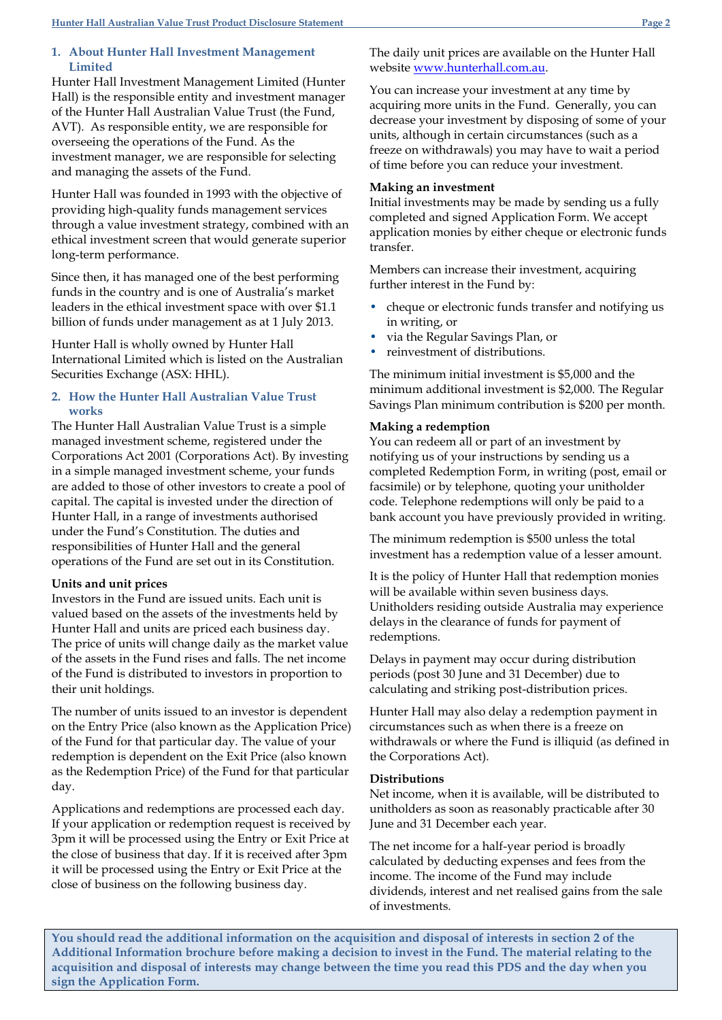### **1. About Hunter Hall Investment Management Limited**

Hunter Hall Investment Management Limited (Hunter Hall) is the responsible entity and investment manager of the Hunter Hall Australian Value Trust (the Fund, AVT). As responsible entity, we are responsible for overseeing the operations of the Fund. As the investment manager, we are responsible for selecting and managing the assets of the Fund.

Hunter Hall was founded in 1993 with the objective of providing high-quality funds management services through a value investment strategy, combined with an ethical investment screen that would generate superior long-term performance.

Since then, it has managed one of the best performing funds in the country and is one of Australia's market leaders in the ethical investment space with over \$1.1 billion of funds under management as at 1 July 2013.

Hunter Hall is wholly owned by Hunter Hall International Limited which is listed on the Australian Securities Exchange (ASX: HHL).

# **2. How the Hunter Hall Australian Value Trust works**

The Hunter Hall Australian Value Trust is a simple managed investment scheme, registered under the Corporations Act 2001 (Corporations Act). By investing in a simple managed investment scheme, your funds are added to those of other investors to create a pool of capital. The capital is invested under the direction of Hunter Hall, in a range of investments authorised under the Fund's Constitution. The duties and responsibilities of Hunter Hall and the general operations of the Fund are set out in its Constitution.

# **Units and unit prices**

Investors in the Fund are issued units. Each unit is valued based on the assets of the investments held by Hunter Hall and units are priced each business day. The price of units will change daily as the market value of the assets in the Fund rises and falls. The net income of the Fund is distributed to investors in proportion to their unit holdings.

The number of units issued to an investor is dependent on the Entry Price (also known as the Application Price) of the Fund for that particular day. The value of your redemption is dependent on the Exit Price (also known as the Redemption Price) of the Fund for that particular day.

Applications and redemptions are processed each day. If your application or redemption request is received by 3pm it will be processed using the Entry or Exit Price at the close of business that day. If it is received after 3pm it will be processed using the Entry or Exit Price at the close of business on the following business day.

The daily unit prices are available on the Hunter Hall website [www.hunterhall.com.au.](http://www.hunterhall.com.au/)

You can increase your investment at any time by acquiring more units in the Fund. Generally, you can decrease your investment by disposing of some of your units, although in certain circumstances (such as a freeze on withdrawals) you may have to wait a period of time before you can reduce your investment.

## **Making an investment**

Initial investments may be made by sending us a fully completed and signed Application Form. We accept application monies by either cheque or electronic funds transfer.

Members can increase their investment, acquiring further interest in the Fund by:

- cheque or electronic funds transfer and notifying us in writing, or
- via the Regular Savings Plan, or
- reinvestment of distributions.

The minimum initial investment is \$5,000 and the minimum additional investment is \$2,000. The Regular Savings Plan minimum contribution is \$200 per month.

## **Making a redemption**

You can redeem all or part of an investment by notifying us of your instructions by sending us a completed Redemption Form, in writing (post, email or facsimile) or by telephone, quoting your unitholder code. Telephone redemptions will only be paid to a bank account you have previously provided in writing.

The minimum redemption is \$500 unless the total investment has a redemption value of a lesser amount.

It is the policy of Hunter Hall that redemption monies will be available within seven business days. Unitholders residing outside Australia may experience delays in the clearance of funds for payment of redemptions.

Delays in payment may occur during distribution periods (post 30 June and 31 December) due to calculating and striking post-distribution prices.

Hunter Hall may also delay a redemption payment in circumstances such as when there is a freeze on withdrawals or where the Fund is illiquid (as defined in the Corporations Act).

### **Distributions**

Net income, when it is available, will be distributed to unitholders as soon as reasonably practicable after 30 June and 31 December each year.

The net income for a half-year period is broadly calculated by deducting expenses and fees from the income. The income of the Fund may include dividends, interest and net realised gains from the sale of investments.

**You should read the additional information on the acquisition and disposal of interests in section 2 of the Additional Information brochure before making a decision to invest in the Fund. The material relating to the acquisition and disposal of interests may change between the time you read this PDS and the day when you sign the Application Form.**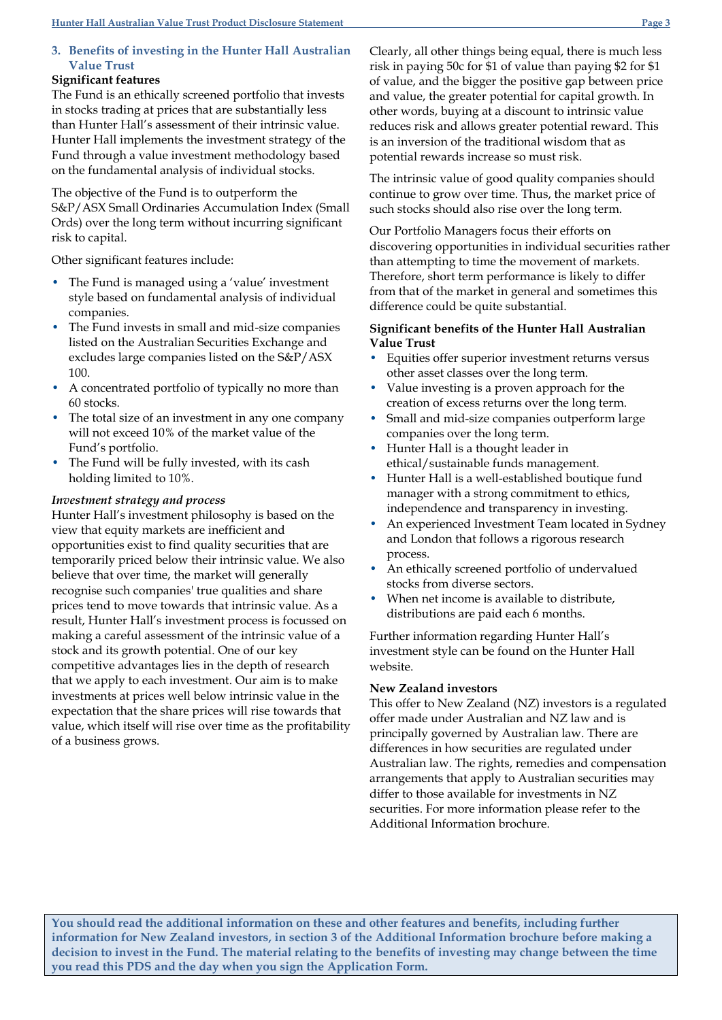# **3. Benefits of investing in the Hunter Hall Australian Value Trust**

# **Significant features**

The Fund is an ethically screened portfolio that invests in stocks trading at prices that are substantially less than Hunter Hall's assessment of their intrinsic value. Hunter Hall implements the investment strategy of the Fund through a value investment methodology based on the fundamental analysis of individual stocks.

The objective of the Fund is to outperform the S&P/ASX Small Ordinaries Accumulation Index (Small Ords) over the long term without incurring significant risk to capital.

Other significant features include:

- The Fund is managed using a 'value' investment style based on fundamental analysis of individual companies.
- The Fund invests in small and mid-size companies listed on the Australian Securities Exchange and excludes large companies listed on the S&P/ASX 100.
- A concentrated portfolio of typically no more than 60 stocks.
- The total size of an investment in any one company will not exceed 10% of the market value of the Fund's portfolio.
- The Fund will be fully invested, with its cash holding limited to 10%.

# *Investment strategy and process*

Hunter Hall's investment philosophy is based on the view that equity markets are inefficient and opportunities exist to find quality securities that are temporarily priced below their intrinsic value. We also believe that over time, the market will generally recognise such companies' true qualities and share prices tend to move towards that intrinsic value. As a result, Hunter Hall's investment process is focussed on making a careful assessment of the intrinsic value of a stock and its growth potential. One of our key competitive advantages lies in the depth of research that we apply to each investment. Our aim is to make investments at prices well below intrinsic value in the expectation that the share prices will rise towards that value, which itself will rise over time as the profitability of a business grows.

Clearly, all other things being equal, there is much less risk in paying 50c for \$1 of value than paying \$2 for \$1 of value, and the bigger the positive gap between price and value, the greater potential for capital growth. In other words, buying at a discount to intrinsic value reduces risk and allows greater potential reward. This is an inversion of the traditional wisdom that as potential rewards increase so must risk.

The intrinsic value of good quality companies should continue to grow over time. Thus, the market price of such stocks should also rise over the long term.

Our Portfolio Managers focus their efforts on discovering opportunities in individual securities rather than attempting to time the movement of markets. Therefore, short term performance is likely to differ from that of the market in general and sometimes this difference could be quite substantial.

# **Significant benefits of the Hunter Hall Australian Value Trust**

- Equities offer superior investment returns versus other asset classes over the long term.
- Value investing is a proven approach for the creation of excess returns over the long term.
- Small and mid-size companies outperform large companies over the long term.
- Hunter Hall is a thought leader in ethical/sustainable funds management.
- Hunter Hall is a well-established boutique fund manager with a strong commitment to ethics, independence and transparency in investing.
- An experienced Investment Team located in Sydney and London that follows a rigorous research process.
- An ethically screened portfolio of undervalued stocks from diverse sectors.
- When net income is available to distribute, distributions are paid each 6 months.

Further information regarding Hunter Hall's investment style can be found on the Hunter Hall website.

# **New Zealand investors**

This offer to New Zealand (NZ) investors is a regulated offer made under Australian and NZ law and is principally governed by Australian law. There are differences in how securities are regulated under Australian law. The rights, remedies and compensation arrangements that apply to Australian securities may differ to those available for investments in NZ securities. For more information please refer to the Additional Information brochure.

**You should read the additional information on these and other features and benefits, including further information for New Zealand investors, in section 3 of the Additional Information brochure before making a decision to invest in the Fund. The material relating to the benefits of investing may change between the time you read this PDS and the day when you sign the Application Form.**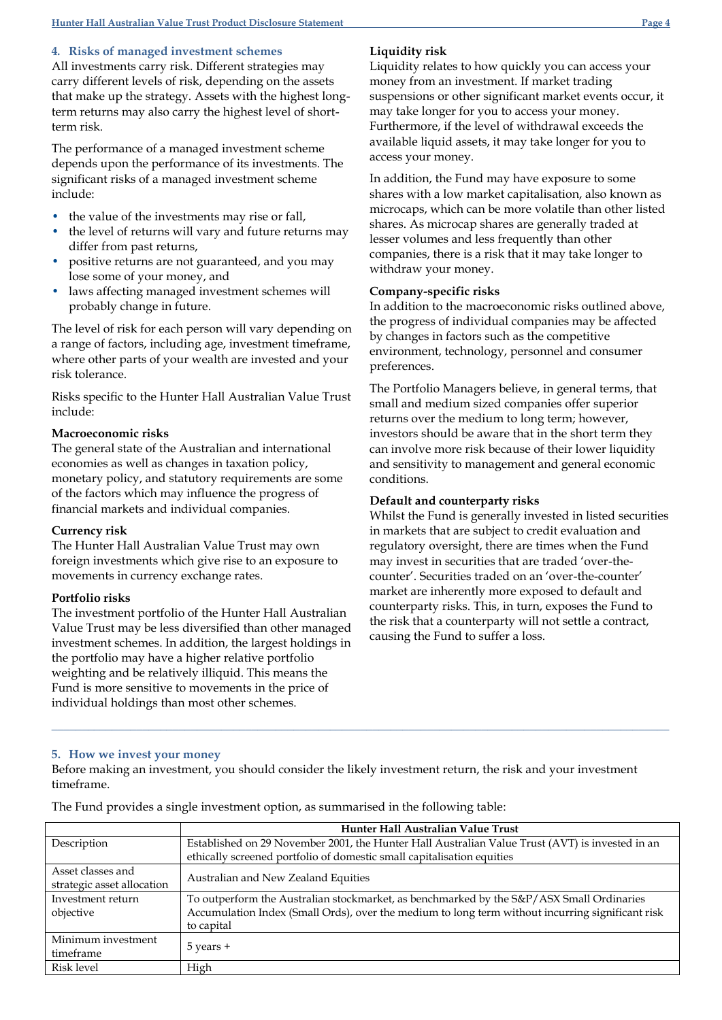# **4***.* **Risks of managed investment schemes**

All investments carry risk. Different strategies may carry different levels of risk, depending on the assets that make up the strategy. Assets with the highest longterm returns may also carry the highest level of shortterm risk.

The performance of a managed investment scheme depends upon the performance of its investments. The significant risks of a managed investment scheme include:

- the value of the investments may rise or fall,
- the level of returns will vary and future returns may differ from past returns,
- positive returns are not guaranteed, and you may lose some of your money, and
- laws affecting managed investment schemes will probably change in future.

The level of risk for each person will vary depending on a range of factors, including age, investment timeframe, where other parts of your wealth are invested and your risk tolerance.

Risks specific to the Hunter Hall Australian Value Trust include:

## **Macroeconomic risks**

The general state of the Australian and international economies as well as changes in taxation policy, monetary policy, and statutory requirements are some of the factors which may influence the progress of financial markets and individual companies.

#### **Currency risk**

The Hunter Hall Australian Value Trust may own foreign investments which give rise to an exposure to movements in currency exchange rates.

### **Portfolio risks**

The investment portfolio of the Hunter Hall Australian Value Trust may be less diversified than other managed investment schemes. In addition, the largest holdings in the portfolio may have a higher relative portfolio weighting and be relatively illiquid. This means the Fund is more sensitive to movements in the price of individual holdings than most other schemes.

# **Liquidity risk**

Liquidity relates to how quickly you can access your money from an investment. If market trading suspensions or other significant market events occur, it may take longer for you to access your money. Furthermore, if the level of withdrawal exceeds the available liquid assets, it may take longer for you to access your money.

In addition, the Fund may have exposure to some shares with a low market capitalisation, also known as microcaps, which can be more volatile than other listed shares. As microcap shares are generally traded at lesser volumes and less frequently than other companies, there is a risk that it may take longer to withdraw your money.

#### **Company-specific risks**

In addition to the macroeconomic risks outlined above, the progress of individual companies may be affected by changes in factors such as the competitive environment, technology, personnel and consumer preferences.

The Portfolio Managers believe, in general terms, that small and medium sized companies offer superior returns over the medium to long term; however, investors should be aware that in the short term they can involve more risk because of their lower liquidity and sensitivity to management and general economic conditions.

#### **Default and counterparty risks**

Whilst the Fund is generally invested in listed securities in markets that are subject to credit evaluation and regulatory oversight, there are times when the Fund may invest in securities that are traded 'over-thecounter'. Securities traded on an 'over-the-counter' market are inherently more exposed to default and counterparty risks. This, in turn, exposes the Fund to the risk that a counterparty will not settle a contract, causing the Fund to suffer a loss.

#### **5. How we invest your money**

Before making an investment, you should consider the likely investment return, the risk and your investment timeframe.

**\_\_\_\_\_\_\_\_\_\_\_\_\_\_\_\_\_\_\_\_\_\_\_\_\_\_\_\_\_\_\_\_\_\_\_\_\_\_\_\_\_\_\_\_\_\_\_\_\_\_\_\_\_\_\_\_\_\_\_\_\_\_\_\_\_\_\_\_\_\_\_\_\_\_\_\_\_\_\_\_\_\_\_\_\_\_\_\_\_\_\_\_\_\_\_\_\_\_\_\_\_\_**

|                            | Hunter Hall Australian Value Trust                                                               |  |
|----------------------------|--------------------------------------------------------------------------------------------------|--|
| Description                | Established on 29 November 2001, the Hunter Hall Australian Value Trust (AVT) is invested in an  |  |
|                            | ethically screened portfolio of domestic small capitalisation equities                           |  |
| Asset classes and          |                                                                                                  |  |
| strategic asset allocation | Australian and New Zealand Equities                                                              |  |
| Investment return          | To outperform the Australian stockmarket, as benchmarked by the S&P/ASX Small Ordinaries         |  |
| objective                  | Accumulation Index (Small Ords), over the medium to long term without incurring significant risk |  |
|                            | to capital                                                                                       |  |
| Minimum investment         |                                                                                                  |  |
| timeframe                  | 5 years +                                                                                        |  |
| Risk level                 | High                                                                                             |  |

The Fund provides a single investment option, as summarised in the following table: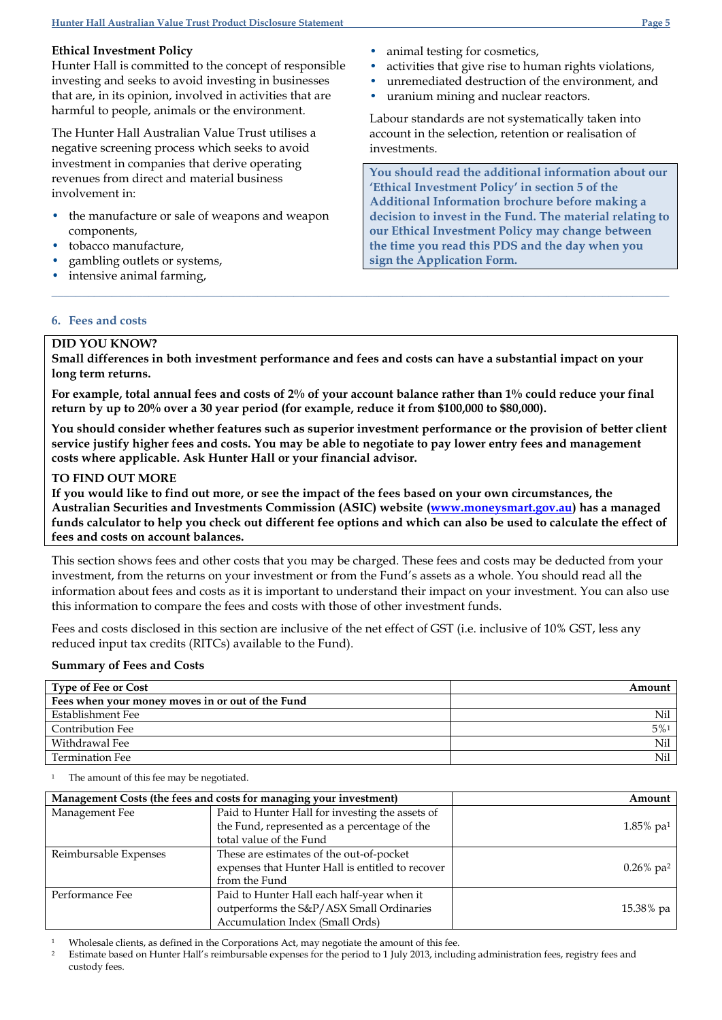## **Ethical Investment Policy**

Hunter Hall is committed to the concept of responsible investing and seeks to avoid investing in businesses that are, in its opinion, involved in activities that are harmful to people, animals or the environment.

The Hunter Hall Australian Value Trust utilises a negative screening process which seeks to avoid investment in companies that derive operating revenues from direct and material business involvement in:

- the manufacture or sale of weapons and weapon components,
- tobacco manufacture,
- gambling outlets or systems,
- intensive animal farming,
- animal testing for cosmetics,
- activities that give rise to human rights violations,
- unremediated destruction of the environment, and
- uranium mining and nuclear reactors.

Labour standards are not systematically taken into account in the selection, retention or realisation of investments.

**You should read the additional information about our 'Ethical Investment Policy' in section 5 of the Additional Information brochure before making a decision to invest in the Fund. The material relating to our Ethical Investment Policy may change between the time you read this PDS and the day when you sign the Application Form.**

## **6. Fees and costs**

## **DID YOU KNOW?**

**Small differences in both investment performance and fees and costs can have a substantial impact on your long term returns.**

**\_\_\_\_\_\_\_\_\_\_\_\_\_\_\_\_\_\_\_\_\_\_\_\_\_\_\_\_\_\_\_\_\_\_\_\_\_\_\_\_\_\_\_\_\_\_\_\_\_\_\_\_\_\_\_\_\_\_\_\_\_\_\_\_\_\_\_\_\_\_\_\_\_\_\_\_\_\_\_\_\_\_\_\_\_\_\_\_\_\_\_\_\_\_\_\_\_\_\_\_\_\_**

**For example, total annual fees and costs of 2% of your account balance rather than 1% could reduce your final return by up to 20% over a 30 year period (for example, reduce it from \$100,000 to \$80,000).**

**You should consider whether features such as superior investment performance or the provision of better client service justify higher fees and costs. You may be able to negotiate to pay lower entry fees and management costs where applicable. Ask Hunter Hall or your financial advisor.**

### **TO FIND OUT MORE**

**If you would like to find out more, or see the impact of the fees based on your own circumstances, the Australian Securities and Investments Commission (ASIC) website [\(www.moneysmart.gov.au\)](http://www.moneysmart.gov.au/) has a managed funds calculator to help you check out different fee options and which can also be used to calculate the effect of fees and costs on account balances.**

This section shows fees and other costs that you may be charged. These fees and costs may be deducted from your investment, from the returns on your investment or from the Fund's assets as a whole. You should read all the information about fees and costs as it is important to understand their impact on your investment. You can also use this information to compare the fees and costs with those of other investment funds.

Fees and costs disclosed in this section are inclusive of the net effect of GST (i.e. inclusive of 10% GST, less any reduced input tax credits (RITCs) available to the Fund).

### **Summary of Fees and Costs**

| <b>Type of Fee or Cost</b>                       | Amount |
|--------------------------------------------------|--------|
| Fees when your money moves in or out of the Fund |        |
| Establishment Fee                                | Nil    |
| <b>Contribution Fee</b>                          | $5\%1$ |
| Withdrawal Fee                                   | Nil    |
| <b>Termination Fee</b>                           | Nil    |

The amount of this fee may be negotiated.

| Management Costs (the fees and costs for managing your investment) |                                                  | Amount                   |
|--------------------------------------------------------------------|--------------------------------------------------|--------------------------|
| Management Fee                                                     | Paid to Hunter Hall for investing the assets of  |                          |
|                                                                    | the Fund, represented as a percentage of the     | $1.85\%$ pa <sup>1</sup> |
|                                                                    | total value of the Fund                          |                          |
| Reimbursable Expenses                                              | These are estimates of the out-of-pocket         |                          |
|                                                                    | expenses that Hunter Hall is entitled to recover | $0.26\%$ pa <sup>2</sup> |
|                                                                    | from the Fund                                    |                          |
| Performance Fee                                                    | Paid to Hunter Hall each half-year when it       |                          |
|                                                                    | outperforms the S&P/ASX Small Ordinaries         | 15.38% pa                |
|                                                                    | Accumulation Index (Small Ords)                  |                          |

<sup>1</sup> Wholesale clients, as defined in the Corporations Act, may negotiate the amount of this fee.

<sup>2</sup> Estimate based on Hunter Hall's reimbursable expenses for the period to 1 July 2013, including administration fees, registry fees and custody fees.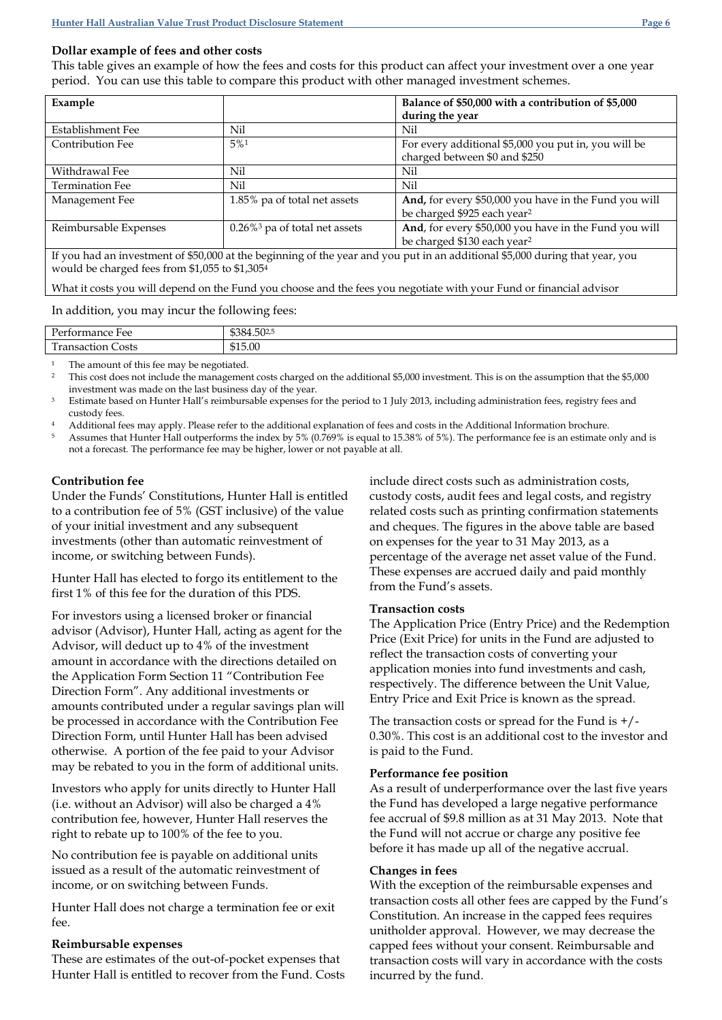## **Dollar example of fees and other costs**

This table gives an example of how the fees and costs for this product can affect your investment over a one year period. You can use this table to compare this product with other managed investment schemes.

| Example                                                                                                                      |                                              | Balance of \$50,000 with a contribution of \$5,000    |
|------------------------------------------------------------------------------------------------------------------------------|----------------------------------------------|-------------------------------------------------------|
|                                                                                                                              |                                              | during the year                                       |
| Establishment Fee                                                                                                            | Nil                                          | Nil                                                   |
| Contribution Fee                                                                                                             | 5%1                                          | For every additional \$5,000 you put in, you will be  |
|                                                                                                                              |                                              | charged between \$0 and \$250                         |
| Withdrawal Fee                                                                                                               | Nil                                          | Nil                                                   |
| <b>Termination Fee</b>                                                                                                       | Nil                                          | Nil                                                   |
| Management Fee                                                                                                               | 1.85% pa of total net assets                 | And, for every \$50,000 you have in the Fund you will |
|                                                                                                                              |                                              | be charged \$925 each year <sup>2</sup>               |
| Reimbursable Expenses                                                                                                        | $0.26\%$ <sup>3</sup> pa of total net assets | And, for every \$50,000 you have in the Fund you will |
|                                                                                                                              |                                              | be charged \$130 each year <sup>2</sup>               |
| If you had an investment of \$50,000 at the beginning of the year and you put in an additional \$5,000 during that year, you |                                              |                                                       |
| would be charged fees from \$1,055 to \$1,3054                                                                               |                                              |                                                       |

What it costs you will depend on the Fund you choose and the fees you negotiate with your Fund or financial advisor

In addition, you may incur the following fees:

| $\mathbf{r}$<br>$P$ $\rho r$<br>rmance.<br>Fee<br>. н<br><b>.</b> | $P^{\wedge}$<br>-04.50٪، |
|-------------------------------------------------------------------|--------------------------|
| <b>COL</b><br>Costs<br>-<br>าsaction<br>11a1                      | \$15.00                  |

The amount of this fee may be negotiated.

<sup>2</sup> This cost does not include the management costs charged on the additional \$5,000 investment. This is on the assumption that the \$5,000 investment was made on the last business day of the year.

<sup>3</sup> Estimate based on Hunter Hall's reimbursable expenses for the period to 1 July 2013, including administration fees, registry fees and custody fees.

<sup>4</sup> Additional fees may apply. Please refer to the additional explanation of fees and costs in the Additional Information brochure.

Assumes that Hunter Hall outperforms the index by 5% (0.769% is equal to 15.38% of 5%). The performance fee is an estimate only and is not a forecast. The performance fee may be higher, lower or not payable at all.

### **Contribution fee**

Under the Funds' Constitutions, Hunter Hall is entitled to a contribution fee of 5% (GST inclusive) of the value of your initial investment and any subsequent investments (other than automatic reinvestment of income, or switching between Funds).

Hunter Hall has elected to forgo its entitlement to the first 1% of this fee for the duration of this PDS.

For investors using a licensed broker or financial advisor (Advisor), Hunter Hall, acting as agent for the Advisor, will deduct up to 4% of the investment amount in accordance with the directions detailed on the Application Form Section 11 "Contribution Fee Direction Form". Any additional investments or amounts contributed under a regular savings plan will be processed in accordance with the Contribution Fee Direction Form, until Hunter Hall has been advised otherwise. A portion of the fee paid to your Advisor may be rebated to you in the form of additional units.

Investors who apply for units directly to Hunter Hall (i.e. without an Advisor) will also be charged a 4% contribution fee, however, Hunter Hall reserves the right to rebate up to 100% of the fee to you.

No contribution fee is payable on additional units issued as a result of the automatic reinvestment of income, or on switching between Funds.

Hunter Hall does not charge a termination fee or exit fee.

### **Reimbursable expenses**

These are estimates of the out-of-pocket expenses that Hunter Hall is entitled to recover from the Fund. Costs include direct costs such as administration costs, custody costs, audit fees and legal costs, and registry related costs such as printing confirmation statements and cheques. The figures in the above table are based on expenses for the year to 31 May 2013, as a percentage of the average net asset value of the Fund. These expenses are accrued daily and paid monthly from the Fund's assets.

### **Transaction costs**

The Application Price (Entry Price) and the Redemption Price (Exit Price) for units in the Fund are adjusted to reflect the transaction costs of converting your application monies into fund investments and cash, respectively. The difference between the Unit Value, Entry Price and Exit Price is known as the spread.

The transaction costs or spread for the Fund is  $+$ /-0.30%. This cost is an additional cost to the investor and is paid to the Fund.

## **Performance fee position**

As a result of underperformance over the last five years the Fund has developed a large negative performance fee accrual of \$9.8 million as at 31 May 2013. Note that the Fund will not accrue or charge any positive fee before it has made up all of the negative accrual.

### **Changes in fees**

With the exception of the reimbursable expenses and transaction costs all other fees are capped by the Fund's Constitution. An increase in the capped fees requires unitholder approval. However, we may decrease the capped fees without your consent. Reimbursable and transaction costs will vary in accordance with the costs incurred by the fund.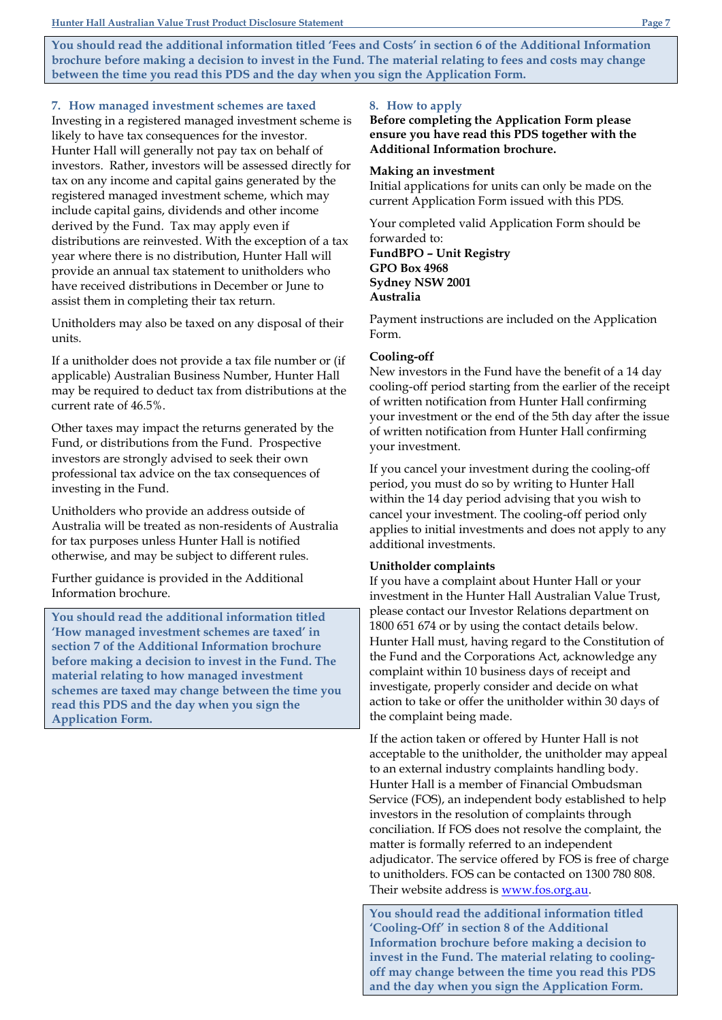**You should read the additional information titled 'Fees and Costs' in section 6 of the Additional Information brochure before making a decision to invest in the Fund. The material relating to fees and costs may change between the time you read this PDS and the day when you sign the Application Form.**

#### **7. How managed investment schemes are taxed**

Investing in a registered managed investment scheme is likely to have tax consequences for the investor. Hunter Hall will generally not pay tax on behalf of investors. Rather, investors will be assessed directly for tax on any income and capital gains generated by the registered managed investment scheme, which may include capital gains, dividends and other income derived by the Fund. Tax may apply even if distributions are reinvested. With the exception of a tax year where there is no distribution, Hunter Hall will provide an annual tax statement to unitholders who have received distributions in December or June to assist them in completing their tax return.

Unitholders may also be taxed on any disposal of their units.

If a unitholder does not provide a tax file number or (if applicable) Australian Business Number, Hunter Hall may be required to deduct tax from distributions at the current rate of 46.5%.

Other taxes may impact the returns generated by the Fund, or distributions from the Fund. Prospective investors are strongly advised to seek their own professional tax advice on the tax consequences of investing in the Fund.

Unitholders who provide an address outside of Australia will be treated as non-residents of Australia for tax purposes unless Hunter Hall is notified otherwise, and may be subject to different rules.

Further guidance is provided in the Additional Information brochure.

**You should read the additional information titled 'How managed investment schemes are taxed' in section 7 of the Additional Information brochure before making a decision to invest in the Fund. The material relating to how managed investment schemes are taxed may change between the time you read this PDS and the day when you sign the Application Form.**

#### **8. How to apply**

**Before completing the Application Form please ensure you have read this PDS together with the Additional Information brochure.**

## **Making an investment**

Initial applications for units can only be made on the current Application Form issued with this PDS.

Your completed valid Application Form should be forwarded to: **FundBPO – Unit Registry GPO Box 4968 Sydney NSW 2001 Australia**

Payment instructions are included on the Application Form.

#### **Cooling-off**

New investors in the Fund have the benefit of a 14 day cooling-off period starting from the earlier of the receipt of written notification from Hunter Hall confirming your investment or the end of the 5th day after the issue of written notification from Hunter Hall confirming your investment.

If you cancel your investment during the cooling-off period, you must do so by writing to Hunter Hall within the 14 day period advising that you wish to cancel your investment. The cooling-off period only applies to initial investments and does not apply to any additional investments.

#### **Unitholder complaints**

If you have a complaint about Hunter Hall or your investment in the Hunter Hall Australian Value Trust, please contact our Investor Relations department on 1800 651 674 or by using the contact details below. Hunter Hall must, having regard to the Constitution of the Fund and the Corporations Act, acknowledge any complaint within 10 business days of receipt and investigate, properly consider and decide on what action to take or offer the unitholder within 30 days of the complaint being made.

If the action taken or offered by Hunter Hall is not acceptable to the unitholder, the unitholder may appeal to an external industry complaints handling body. Hunter Hall is a member of Financial Ombudsman Service (FOS), an independent body established to help investors in the resolution of complaints through conciliation. If FOS does not resolve the complaint, the matter is formally referred to an independent adjudicator. The service offered by FOS is free of charge to unitholders. FOS can be contacted on 1300 780 808. Their website address is [www.fos.org.au.](http://www.fos.org.au/)

**You should read the additional information titled 'Cooling-Off' in section 8 of the Additional Information brochure before making a decision to invest in the Fund. The material relating to coolingoff may change between the time you read this PDS and the day when you sign the Application Form.**